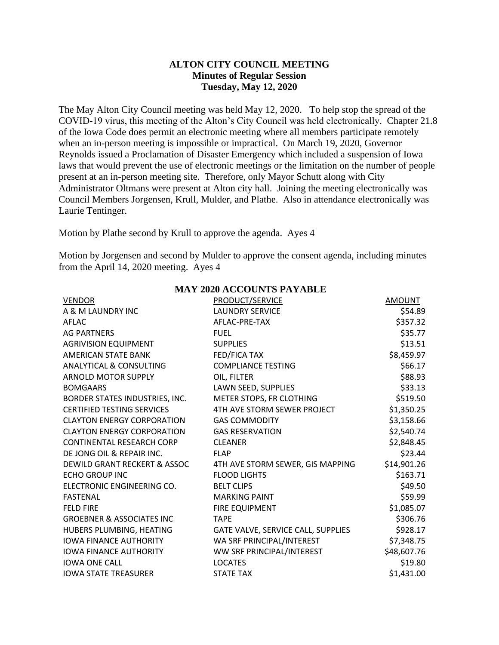## **ALTON CITY COUNCIL MEETING Minutes of Regular Session Tuesday, May 12, 2020**

The May Alton City Council meeting was held May 12, 2020. To help stop the spread of the COVID-19 virus, this meeting of the Alton's City Council was held electronically. Chapter 21.8 of the Iowa Code does permit an electronic meeting where all members participate remotely when an in-person meeting is impossible or impractical. On March 19, 2020, Governor Reynolds issued a Proclamation of Disaster Emergency which included a suspension of Iowa laws that would prevent the use of electronic meetings or the limitation on the number of people present at an in-person meeting site. Therefore, only Mayor Schutt along with City Administrator Oltmans were present at Alton city hall. Joining the meeting electronically was Council Members Jorgensen, Krull, Mulder, and Plathe. Also in attendance electronically was Laurie Tentinger.

Motion by Plathe second by Krull to approve the agenda. Ayes 4

Motion by Jorgensen and second by Mulder to approve the consent agenda, including minutes from the April 14, 2020 meeting. Ayes 4

| <b>VENDOR</b>                           | PRODUCT/SERVICE                    | <b>AMOUNT</b> |
|-----------------------------------------|------------------------------------|---------------|
| A & M LAUNDRY INC                       | <b>LAUNDRY SERVICE</b>             | \$54.89       |
| AFLAC                                   | AFLAC-PRE-TAX                      | \$357.32      |
| <b>AG PARTNERS</b>                      | <b>FUEL</b>                        | \$35.77       |
| <b>AGRIVISION EQUIPMENT</b>             | <b>SUPPLIES</b>                    | \$13.51       |
| AMERICAN STATE BANK                     | FED/FICA TAX                       | \$8,459.97    |
| ANALYTICAL & CONSULTING                 | <b>COMPLIANCE TESTING</b>          | \$66.17       |
| <b>ARNOLD MOTOR SUPPLY</b>              | OIL, FILTER                        | \$88.93       |
| <b>BOMGAARS</b>                         | LAWN SEED, SUPPLIES                | \$33.13       |
| BORDER STATES INDUSTRIES, INC.          | METER STOPS, FR CLOTHING           | \$519.50      |
| <b>CERTIFIED TESTING SERVICES</b>       | 4TH AVE STORM SEWER PROJECT        | \$1,350.25    |
| <b>CLAYTON ENERGY CORPORATION</b>       | <b>GAS COMMODITY</b>               | \$3,158.66    |
| <b>CLAYTON ENERGY CORPORATION</b>       | <b>GAS RESERVATION</b>             | \$2,540.74    |
| CONTINENTAL RESEARCH CORP               | <b>CLEANER</b>                     | \$2,848.45    |
| DE JONG OIL & REPAIR INC.               | <b>FLAP</b>                        | \$23.44       |
| <b>DEWILD GRANT RECKERT &amp; ASSOC</b> | 4TH AVE STORM SEWER, GIS MAPPING   | \$14,901.26   |
| <b>ECHO GROUP INC</b>                   | <b>FLOOD LIGHTS</b>                | \$163.71      |
| ELECTRONIC ENGINEERING CO.              | <b>BELT CLIPS</b>                  | \$49.50       |
| <b>FASTENAL</b>                         | <b>MARKING PAINT</b>               | \$59.99       |
| <b>FELD FIRE</b>                        | <b>FIRE EQUIPMENT</b>              | \$1,085.07    |
| <b>GROEBNER &amp; ASSOCIATES INC</b>    | <b>TAPE</b>                        | \$306.76      |
| HUBERS PLUMBING, HEATING                | GATE VALVE, SERVICE CALL, SUPPLIES | \$928.17      |
| <b>IOWA FINANCE AUTHORITY</b>           | WA SRF PRINCIPAL/INTEREST          | \$7,348.75    |
| <b>IOWA FINANCE AUTHORITY</b>           | WW SRF PRINCIPAL/INTEREST          | \$48,607.76   |
| <b>IOWA ONE CALL</b>                    | <b>LOCATES</b>                     | \$19.80       |
| <b>IOWA STATE TREASURER</b>             | <b>STATE TAX</b>                   | \$1,431.00    |

## **MAY 2020 ACCOUNTS PAYABLE**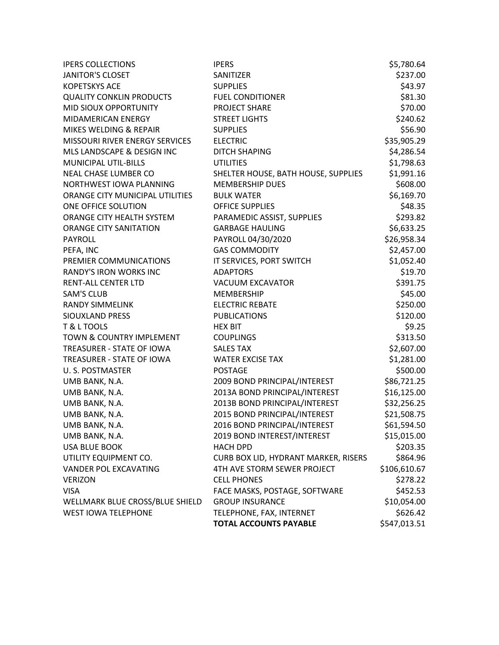| <b>IPERS COLLECTIONS</b>        | <b>IPERS</b>                         | \$5,780.64   |
|---------------------------------|--------------------------------------|--------------|
| <b>JANITOR'S CLOSET</b>         | SANITIZER                            | \$237.00     |
| <b>KOPETSKYS ACE</b>            | <b>SUPPLIES</b>                      | \$43.97      |
| <b>QUALITY CONKLIN PRODUCTS</b> | <b>FUEL CONDITIONER</b>              | \$81.30      |
| MID SIOUX OPPORTUNITY           | PROJECT SHARE                        | \$70.00      |
| <b>MIDAMERICAN ENERGY</b>       | <b>STREET LIGHTS</b>                 | \$240.62     |
| MIKES WELDING & REPAIR          | <b>SUPPLIES</b>                      | \$56.90      |
| MISSOURI RIVER ENERGY SERVICES  | <b>ELECTRIC</b>                      | \$35,905.29  |
| MLS LANDSCAPE & DESIGN INC      | <b>DITCH SHAPING</b>                 | \$4,286.54   |
| <b>MUNICIPAL UTIL-BILLS</b>     | <b>UTILITIES</b>                     | \$1,798.63   |
| NEAL CHASE LUMBER CO            | SHELTER HOUSE, BATH HOUSE, SUPPLIES  | \$1,991.16   |
| NORTHWEST IOWA PLANNING         | MEMBERSHIP DUES                      | \$608.00     |
| ORANGE CITY MUNICIPAL UTILITIES | <b>BULK WATER</b>                    | \$6,169.70   |
| ONE OFFICE SOLUTION             | <b>OFFICE SUPPLIES</b>               | \$48.35      |
| ORANGE CITY HEALTH SYSTEM       | PARAMEDIC ASSIST, SUPPLIES           | \$293.82     |
| <b>ORANGE CITY SANITATION</b>   | <b>GARBAGE HAULING</b>               | \$6,633.25   |
| <b>PAYROLL</b>                  | PAYROLL 04/30/2020                   | \$26,958.34  |
| PEFA, INC                       | <b>GAS COMMODITY</b>                 | \$2,457.00   |
| PREMIER COMMUNICATIONS          | IT SERVICES, PORT SWITCH             | \$1,052.40   |
| <b>RANDY'S IRON WORKS INC</b>   | <b>ADAPTORS</b>                      | \$19.70      |
| <b>RENT-ALL CENTER LTD</b>      | VACUUM EXCAVATOR                     | \$391.75     |
| <b>SAM'S CLUB</b>               | <b>MEMBERSHIP</b>                    | \$45.00      |
| <b>RANDY SIMMELINK</b>          | <b>ELECTRIC REBATE</b>               | \$250.00     |
| SIOUXLAND PRESS                 | <b>PUBLICATIONS</b>                  | \$120.00     |
| T & L TOOLS                     | <b>HEX BIT</b>                       | \$9.25       |
| TOWN & COUNTRY IMPLEMENT        | <b>COUPLINGS</b>                     | \$313.50     |
| TREASURER - STATE OF IOWA       | <b>SALES TAX</b>                     | \$2,607.00   |
| TREASURER - STATE OF IOWA       | <b>WATER EXCISE TAX</b>              | \$1,281.00   |
| <b>U.S. POSTMASTER</b>          | <b>POSTAGE</b>                       | \$500.00     |
| UMB BANK, N.A.                  | 2009 BOND PRINCIPAL/INTEREST         | \$86,721.25  |
| UMB BANK, N.A.                  | 2013A BOND PRINCIPAL/INTEREST        | \$16,125.00  |
| UMB BANK, N.A.                  | 2013B BOND PRINCIPAL/INTEREST        | \$32,256.25  |
| UMB BANK, N.A.                  | 2015 BOND PRINCIPAL/INTEREST         | \$21,508.75  |
| UMB BANK, N.A.                  | 2016 BOND PRINCIPAL/INTEREST         | \$61,594.50  |
| UMB BANK, N.A.                  | 2019 BOND INTEREST/INTEREST          | \$15,015.00  |
| <b>USA BLUE BOOK</b>            | <b>HACH DPD</b>                      | \$203.35     |
| UTILITY EQUIPMENT CO.           | CURB BOX LID, HYDRANT MARKER, RISERS | \$864.96     |
| VANDER POL EXCAVATING           | 4TH AVE STORM SEWER PROJECT          | \$106,610.67 |
| <b>VERIZON</b>                  | <b>CELL PHONES</b>                   | \$278.22     |
| <b>VISA</b>                     | FACE MASKS, POSTAGE, SOFTWARE        | \$452.53     |
| WELLMARK BLUE CROSS/BLUE SHIELD | <b>GROUP INSURANCE</b>               | \$10,054.00  |
| <b>WEST IOWA TELEPHONE</b>      | TELEPHONE, FAX, INTERNET             | \$626.42     |
|                                 | <b>TOTAL ACCOUNTS PAYABLE</b>        | \$547,013.51 |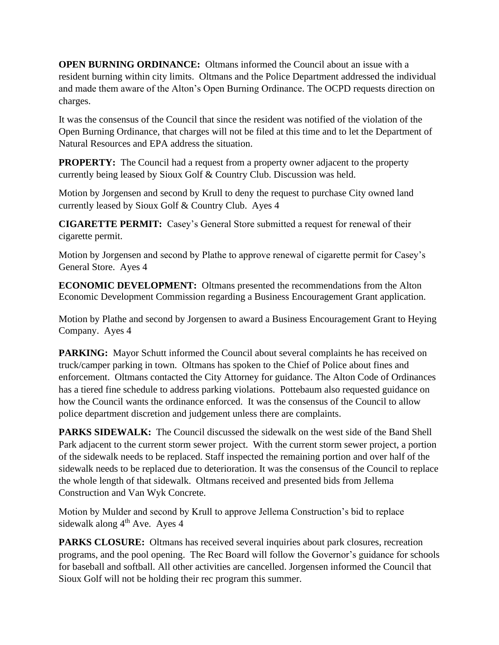**OPEN BURNING ORDINANCE:** Oltmans informed the Council about an issue with a resident burning within city limits. Oltmans and the Police Department addressed the individual and made them aware of the Alton's Open Burning Ordinance. The OCPD requests direction on charges.

It was the consensus of the Council that since the resident was notified of the violation of the Open Burning Ordinance, that charges will not be filed at this time and to let the Department of Natural Resources and EPA address the situation.

**PROPERTY:** The Council had a request from a property owner adjacent to the property currently being leased by Sioux Golf & Country Club. Discussion was held.

Motion by Jorgensen and second by Krull to deny the request to purchase City owned land currently leased by Sioux Golf & Country Club. Ayes 4

**CIGARETTE PERMIT:** Casey's General Store submitted a request for renewal of their cigarette permit.

Motion by Jorgensen and second by Plathe to approve renewal of cigarette permit for Casey's General Store. Ayes 4

**ECONOMIC DEVELOPMENT:** Oltmans presented the recommendations from the Alton Economic Development Commission regarding a Business Encouragement Grant application.

Motion by Plathe and second by Jorgensen to award a Business Encouragement Grant to Heying Company. Ayes 4

**PARKING:** Mayor Schutt informed the Council about several complaints he has received on truck/camper parking in town. Oltmans has spoken to the Chief of Police about fines and enforcement. Oltmans contacted the City Attorney for guidance. The Alton Code of Ordinances has a tiered fine schedule to address parking violations. Pottebaum also requested guidance on how the Council wants the ordinance enforced. It was the consensus of the Council to allow police department discretion and judgement unless there are complaints.

**PARKS SIDEWALK:** The Council discussed the sidewalk on the west side of the Band Shell Park adjacent to the current storm sewer project. With the current storm sewer project, a portion of the sidewalk needs to be replaced. Staff inspected the remaining portion and over half of the sidewalk needs to be replaced due to deterioration. It was the consensus of the Council to replace the whole length of that sidewalk. Oltmans received and presented bids from Jellema Construction and Van Wyk Concrete.

Motion by Mulder and second by Krull to approve Jellema Construction's bid to replace sidewalk along  $4<sup>th</sup>$  Ave. Ayes 4

**PARKS CLOSURE:** Oltmans has received several inquiries about park closures, recreation programs, and the pool opening. The Rec Board will follow the Governor's guidance for schools for baseball and softball. All other activities are cancelled. Jorgensen informed the Council that Sioux Golf will not be holding their rec program this summer.